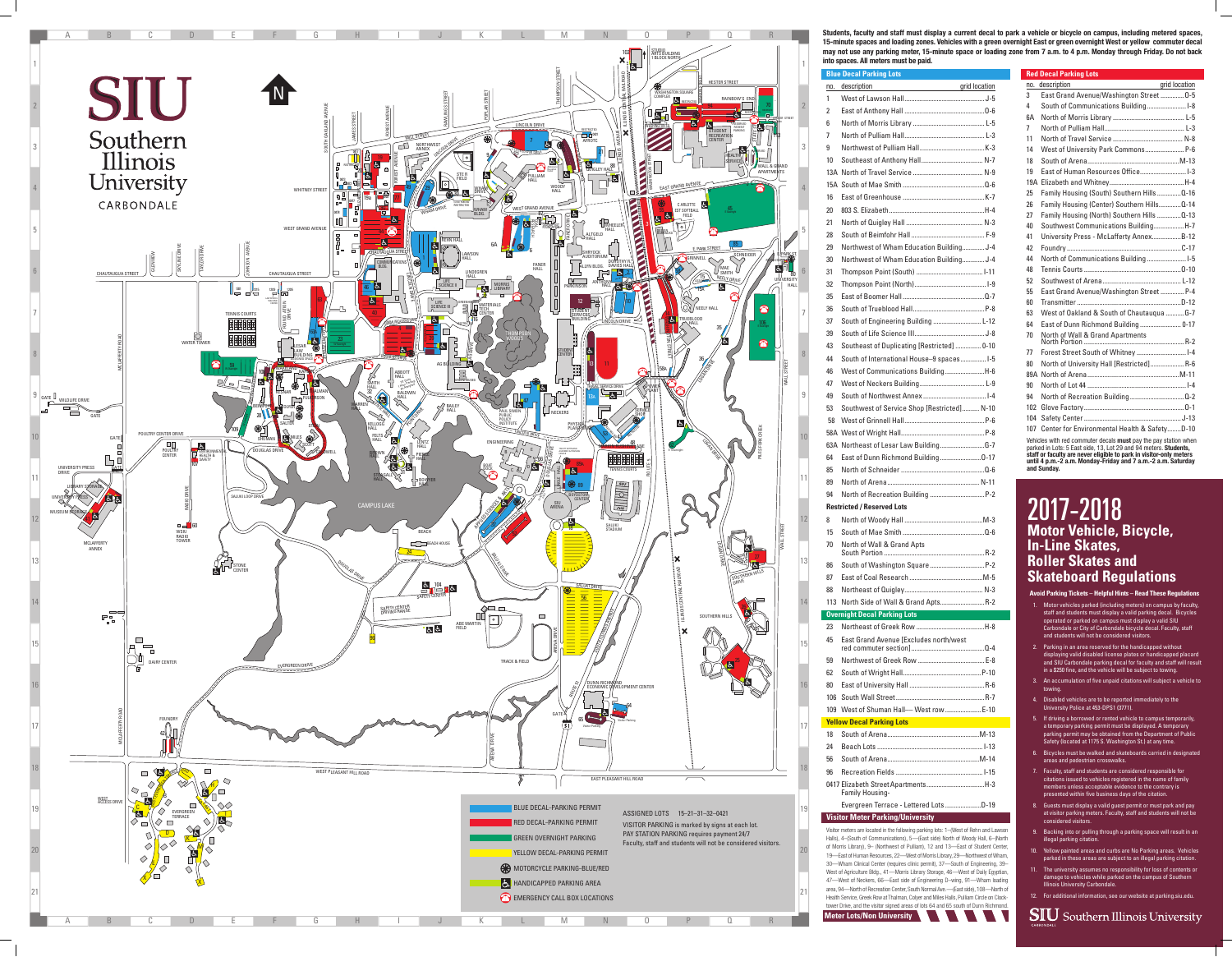**Avoid Parking Tickets – Helpful Hints – Read These Regulations**

- 1. Motor vehicles parked (including meters) on campus by faculty, staff and students must display a valid parking decal. Bicycles operated or parked on campus must display a valid SIU Carbondale or City of Carbondale bicycle decal. Faculty, staff and students will not be considered visitors.
- 2. Parking in an area reserved for the handicapped without displaying valid disabled license plates or handicapped placard and SIU Carbondale parking decal for faculty and staff will result in a \$250 fine, and the vehicle will be subject to towing.
- 3. An accumulation of five unpaid citations will subject a vehicle to towing.
- 4. Disabled vehicles are to be reported immediately to the University Police at 453-DPS1 (3771).
- 5. If driving a borrowed or rented vehicle to campus temporarily, a temporary parking permit must be displayed. A temporary parking permit may be obtained from the Department of Public Safety (located at 1175 S. Washington St.) at any time.
- 6. Bicycles must be walked and skateboards carried in designated areas and pedestrian crosswalks.
- 7. Faculty, staff and students are considered responsible for citations issued to vehicles registered in the name of family members unless acceptable evidence to the contrary is presented within five business days of the citation.
- 8. Guests must display a valid guest permit or must park and pay at visitor parking meters. Faculty, staff and students will not be considered visitors.
- 9. Backing into or pulling through a parking space will result in an illegal parking citation.
- 10. Yellow painted areas and curbs are No Parking areas. Vehicles parked in these areas are subject to an illegal parking citation.
- 11. The university assumes no responsibility for loss of contents or damage to vehicles while parked on the campus of Southern Illinois University Carbondale.
- 12. For additional information, see our website at parking.siu.edu.



# 2017-2018 **Motor Vehicle, Bicycle, In-Line Skates, Roller Skates and Skateboard Regulations**



|     | <b>Blue Decal Parking Lots</b>                                                                                                                     |
|-----|----------------------------------------------------------------------------------------------------------------------------------------------------|
| no. | grid location<br>description                                                                                                                       |
| 1   |                                                                                                                                                    |
| 2   |                                                                                                                                                    |
| 6   |                                                                                                                                                    |
| 7   |                                                                                                                                                    |
| 9   |                                                                                                                                                    |
| 10  |                                                                                                                                                    |
|     |                                                                                                                                                    |
|     |                                                                                                                                                    |
| 16  |                                                                                                                                                    |
| 20  |                                                                                                                                                    |
| 21  |                                                                                                                                                    |
| 28  |                                                                                                                                                    |
| 29  | Northwest of Wham Education Building J-4                                                                                                           |
| 30  | Northwest of Wham Education Building J-4                                                                                                           |
| 31  |                                                                                                                                                    |
| 32  |                                                                                                                                                    |
|     |                                                                                                                                                    |
| 35  |                                                                                                                                                    |
| 36  |                                                                                                                                                    |
| 37  | South of Engineering Building  L-12                                                                                                                |
| 39  |                                                                                                                                                    |
| 43  | Southeast of Duplicating [Restricted]  0-10                                                                                                        |
| 44  | South of International House-9 spaces I-5                                                                                                          |
| 46  | West of Communications BuildingH-6                                                                                                                 |
| 47  |                                                                                                                                                    |
| 49  |                                                                                                                                                    |
| 53  | Southwest of Service Shop [Restricted] N-10                                                                                                        |
| 58  |                                                                                                                                                    |
|     |                                                                                                                                                    |
|     |                                                                                                                                                    |
| 64  | East of Dunn Richmond Building0-17                                                                                                                 |
| 85  |                                                                                                                                                    |
| 89  |                                                                                                                                                    |
| 94  |                                                                                                                                                    |
|     | <b>Restricted / Reserved Lots</b>                                                                                                                  |
| 8   |                                                                                                                                                    |
| 15  |                                                                                                                                                    |
| 70  | North of Wall & Grand Apts                                                                                                                         |
|     |                                                                                                                                                    |
| 86  |                                                                                                                                                    |
| 87  |                                                                                                                                                    |
| 88  |                                                                                                                                                    |
| 113 | North Side of Wall & Grand Apts R-2                                                                                                                |
|     | <b>Overnight Decal Parking Lots</b>                                                                                                                |
| 23  |                                                                                                                                                    |
| 45  | East Grand Avenue [Excludes north/west                                                                                                             |
| 59  |                                                                                                                                                    |
| 62  |                                                                                                                                                    |
| 80  |                                                                                                                                                    |
| 106 |                                                                                                                                                    |
| 109 | West of Shuman Hall- West row  E-10                                                                                                                |
|     | <b>Yellow Decal Parking Lots</b><br>and the state of the state of the state of the state of the state of the state of the state of the state of th |
| 18  |                                                                                                                                                    |
| 24  |                                                                                                                                                    |
| 56  |                                                                                                                                                    |
| 96  |                                                                                                                                                    |
|     | <b>Family Housing-</b>                                                                                                                             |
|     | Evergreen Terrace - Lettered Lots D-19                                                                                                             |
|     | <b>Visitor Meter Parking/University</b>                                                                                                            |
|     |                                                                                                                                                    |

Visitor meters are located in the following parking lots: 1–(West of Rehn and Lawson Halls), 4–(South of Communications), 5—(East side) North of Woody Hall, 6–(North of Morris Library), 9– (Northwest of Pulliam), 12 and 13—East of Student Center, 19—East of Human Resources, 22—West of Morris Library, 29—Northwest of Wham, 30—Wham Clinical Center (requires clinic permit), 37—South of Engineering, 39– West of Agriculture Bldg., 41—Morris Library Storage, 46—West of Daily Egyptian, 47—West of Neckers, 66—East side of Engineering D–wing, 91—Wham loading area, 94—North of Recreation Center, South Normal Ave.—(East side), 108—North of Health Service, Greek Row at Thalman, Colyer and Miles Halls, Pulliam Circle on Clocktower Drive, and the visitor signed areas of lots 64 and 65 south of Dunn Richmond.

**Red Decal Parking Lots**



**Students, faculty and staff must display a current decal to park a vehicle or bicycle on campus, including metered spaces, 15-minute spaces and loading zones. Vehicles with a green overnight East or green overnight West or yellow commuter decal may not use any parking meter, 15-minute space or loading zone from 7 a.m. to 4 p.m. Monday through Friday. Do not back into spaces. All meters must be paid.**

> **staff or faculty are never eligible to park in visitor-only meters until 4 p.m.-2 a.m. Monday-Friday and 7 a.m.-2 a.m. Saturday and Sunday.**